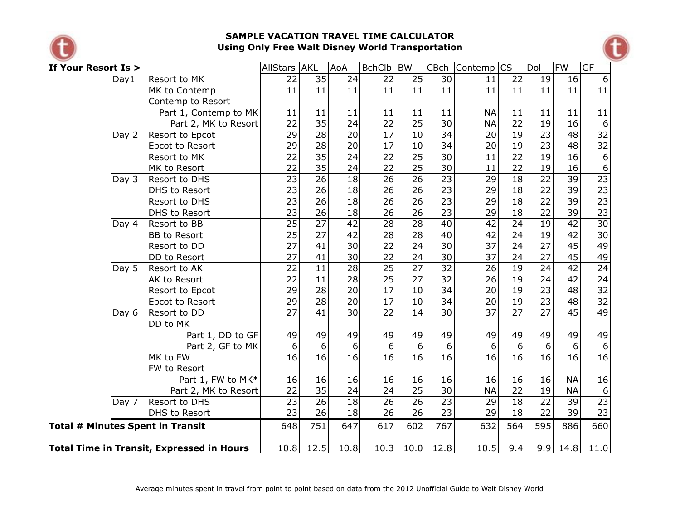

## **SAMPLE VACATION TRAVEL TIME CALCULATOR Using Only Free Walt Disney World Transportation**



| If Your Resort Is >                                                                                         |                      | AllStars AKL    |                 | AoA             | BchClb BW       |                 |                 | CBch Contemp CS |                 | Dol             | <b>FW</b>       | <b>GF</b>       |
|-------------------------------------------------------------------------------------------------------------|----------------------|-----------------|-----------------|-----------------|-----------------|-----------------|-----------------|-----------------|-----------------|-----------------|-----------------|-----------------|
| Day1<br>Resort to MK<br>MK to Contemp<br>Contemp to Resort<br>Part 1, Contemp to MK<br>Part 2, MK to Resort |                      | 22              | 35              | 24              | 22              | 25              | 30              | 11              | 22              | 19              | 16              | 6               |
|                                                                                                             |                      | 11              | 11              | 11              | 11              | 11              | 11              | 11              | 11              | 11              | 11              | 11              |
|                                                                                                             |                      |                 |                 |                 |                 |                 |                 |                 |                 |                 |                 |                 |
|                                                                                                             |                      | 11              | 11              | 11              | 11              | 11              | 11              | <b>NA</b>       | 11              | 11              | 11              | 11              |
|                                                                                                             |                      | 22              | 35              | 24              | 22              | 25              | 30              | <b>NA</b>       | 22              | 19              | 16              | 6               |
| Day 2                                                                                                       | Resort to Epcot      | $\overline{29}$ | $\overline{28}$ | $\overline{20}$ | $\overline{17}$ | $\overline{10}$ | $\overline{34}$ | 20              | $\overline{19}$ | $\overline{23}$ | $\overline{48}$ | $\overline{32}$ |
|                                                                                                             | Epcot to Resort      | 29              | 28              | 20              | 17              | 10              | 34              | 20              | 19              | 23              | 48              | 32              |
|                                                                                                             | Resort to MK         | 22              | 35              | 24              | 22              | 25              | 30              | 11              | 22              | 19              | 16              | 6               |
| MK to Resort                                                                                                |                      | 22              | 35              | 24              | 22              | 25              | 30              | 11              | 22              | 19              | 16              | 6               |
| Day 3                                                                                                       | Resort to DHS        | $\overline{23}$ | 26              | 18              | $\overline{26}$ | $\overline{26}$ | 23              | 29              | 18              | $\overline{22}$ | 39              | $\overline{23}$ |
|                                                                                                             | DHS to Resort        | 23              | 26              | 18              | 26              | 26              | 23              | 29              | 18              | 22              | 39              | 23              |
|                                                                                                             | Resort to DHS        | 23              | 26              | 18              | 26              | 26              | 23              | 29              | 18              | 22              | 39              | 23              |
|                                                                                                             | DHS to Resort        | 23              | 26              | 18              | 26              | 26              | 23              | 29              | 18              | 22              | 39              | 23              |
| Day 4                                                                                                       | Resort to BB         | $\overline{25}$ | $\overline{27}$ | 42              | $\overline{28}$ | $\overline{28}$ | 40              | $\overline{42}$ | $\overline{24}$ | $\overline{19}$ | $\overline{42}$ | $\overline{30}$ |
|                                                                                                             | <b>BB</b> to Resort  | 25              | 27              | 42              | 28              | 28              | 40              | 42              | 24              | 19              | 42              | 30              |
|                                                                                                             | Resort to DD         | 27              | 41              | 30              | 22              | 24              | 30              | 37              | 24              | 27              | 45              | 49              |
|                                                                                                             | DD to Resort         | 27              | 41              | 30              | 22              | 24              | 30              | 37              | 24              | 27              | 45              | 49              |
| Day 5                                                                                                       | Resort to AK         | $\overline{22}$ | $\overline{11}$ | $\overline{28}$ | $\overline{25}$ | $\overline{27}$ | $\overline{32}$ | 26              | $\overline{19}$ | $\overline{24}$ | $\overline{42}$ | $\overline{24}$ |
|                                                                                                             | AK to Resort         | 22              | 11              | 28              | 25              | 27              | 32              | 26              | 19              | 24              | 42              | 24              |
|                                                                                                             | Resort to Epcot      | 29              | 28              | 20              | 17              | 10              | 34              | 20              | 19              | 23              | 48              | 32              |
|                                                                                                             | Epcot to Resort      | 29              | 28              | 20              | 17              | 10              | 34              | 20              | 19              | 23              | 48              | 32              |
| Day 6                                                                                                       | Resort to DD         | $\overline{27}$ | $\overline{41}$ | $\overline{30}$ | $\overline{22}$ | 14              | $\overline{30}$ | $\overline{37}$ | $\overline{27}$ | $\overline{27}$ | $\overline{45}$ | 49              |
|                                                                                                             | DD to MK             |                 |                 |                 |                 |                 |                 |                 |                 |                 |                 |                 |
|                                                                                                             | Part 1, DD to GF     | 49              | 49              | 49              | 49              | 49              | 49              | 49              | 49              | 49              | 49              | 49              |
|                                                                                                             | Part 2, GF to MK     | 6               | 6               | 6               | 6               | 6               | 6               | 6               | 6               | 6               | 6               | 6               |
|                                                                                                             | MK to FW             | 16              | 16              | 16              | 16              | 16              | 16              | 16              | 16              | 16              | 16              | 16              |
|                                                                                                             | FW to Resort         |                 |                 |                 |                 |                 |                 |                 |                 |                 |                 |                 |
|                                                                                                             | Part 1, FW to MK*    | 16              | 16              | 16              | 16              | 16              | 16              | 16              | 16              | 16              | <b>NA</b>       | 16              |
|                                                                                                             | Part 2, MK to Resort | 22              | 35              | 24              | 24              | 25              | 30              | <b>NA</b>       | 22              | 19              | <b>NA</b>       | 6               |
| Day 7                                                                                                       | Resort to DHS        | $\overline{23}$ | $\overline{26}$ | 18              | $\overline{26}$ | $\overline{26}$ | $\overline{23}$ | 29              | $\overline{18}$ | $\overline{22}$ | 39              | $\overline{23}$ |
|                                                                                                             | DHS to Resort        | 23              | 26              | 18              | 26              | 26              | 23              | 29              | 18              | 22              | 39              | 23              |
| <b>Total # Minutes Spent in Transit</b>                                                                     | 648                  | 751             | 647             | 617             | 602             | 767             | 632             | 564             | 595             | 886             | 660             |                 |
| <b>Total Time in Transit, Expressed in Hours</b>                                                            | 10.8                 | 12.5            | 10.8            | 10.3            | 10.0            | 12.8            | 10.5            | 9.4             | 9.9             | 14.8            | 11.0            |                 |